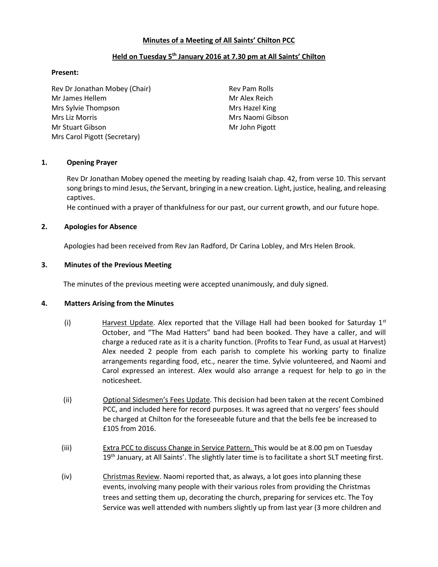### Minutes of a Meeting of All Saints' Chilton PCC

### Held on Tuesday 5<sup>th</sup> January 2016 at 7.30 pm at All Saints' Chilton

#### Present:

Rev Dr Jonathan Mobey (Chair) Rev Pam Rolls Mr James Hellem Mr Alex Reich Mrs Sylvie Thompson Mrs Hazel King Mrs Liz Morris **Mrs Naomi Gibson** Mr Stuart Gibson Mr John Pigott Mrs Carol Pigott (Secretary)

#### 1. Opening Prayer

Rev Dr Jonathan Mobey opened the meeting by reading Isaiah chap. 42, from verse 10. This servant song brings to mind Jesus, the Servant, bringing in a new creation. Light, justice, healing, and releasing captives.

He continued with a prayer of thankfulness for our past, our current growth, and our future hope.

#### 2. Apologies for Absence

Apologies had been received from Rev Jan Radford, Dr Carina Lobley, and Mrs Helen Brook.

#### 3. Minutes of the Previous Meeting

The minutes of the previous meeting were accepted unanimously, and duly signed.

#### 4. Matters Arising from the Minutes

- (i) Harvest Update. Alex reported that the Village Hall had been booked for Saturday  $1^{st}$ October, and "The Mad Hatters" band had been booked. They have a caller, and will charge a reduced rate as it is a charity function. (Profits to Tear Fund, as usual at Harvest) Alex needed 2 people from each parish to complete his working party to finalize arrangements regarding food, etc., nearer the time. Sylvie volunteered, and Naomi and Carol expressed an interest. Alex would also arrange a request for help to go in the noticesheet.
- (ii) Optional Sidesmen's Fees Update. This decision had been taken at the recent Combined PCC, and included here for record purposes. It was agreed that no vergers' fees should be charged at Chilton for the foreseeable future and that the bells fee be increased to £105 from 2016.
- (iii) Extra PCC to discuss Change in Service Pattern. This would be at 8.00 pm on Tuesday  $19<sup>th</sup>$  January, at All Saints'. The slightly later time is to facilitate a short SLT meeting first.
- (iv) Christmas Review. Naomi reported that, as always, a lot goes into planning these events, involving many people with their various roles from providing the Christmas trees and setting them up, decorating the church, preparing for services etc. The Toy Service was well attended with numbers slightly up from last year (3 more children and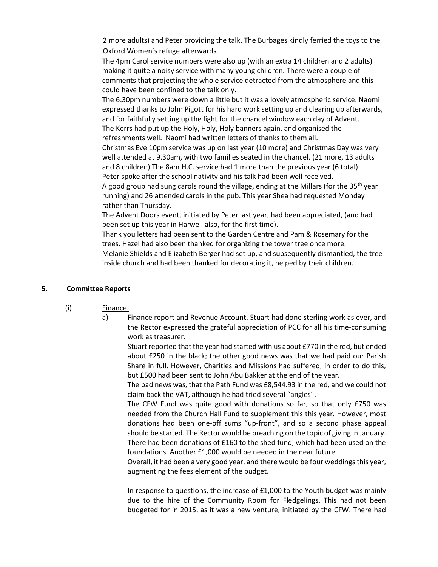2 more adults) and Peter providing the talk. The Burbages kindly ferried the toys to the Oxford Women's refuge afterwards.

The 4pm Carol service numbers were also up (with an extra 14 children and 2 adults) making it quite a noisy service with many young children. There were a couple of comments that projecting the whole service detracted from the atmosphere and this could have been confined to the talk only.

The 6.30pm numbers were down a little but it was a lovely atmospheric service. Naomi expressed thanks to John Pigott for his hard work setting up and clearing up afterwards, and for faithfully setting up the light for the chancel window each day of Advent. The Kerrs had put up the Holy, Holy, Holy banners again, and organised the refreshments well. Naomi had written letters of thanks to them all.

Christmas Eve 10pm service was up on last year (10 more) and Christmas Day was very well attended at 9.30am, with two families seated in the chancel. (21 more, 13 adults and 8 children) The 8am H.C. service had 1 more than the previous year (6 total). Peter spoke after the school nativity and his talk had been well received.

A good group had sung carols round the village, ending at the Millars (for the 35<sup>th</sup> year running) and 26 attended carols in the pub. This year Shea had requested Monday rather than Thursday.

The Advent Doors event, initiated by Peter last year, had been appreciated, (and had been set up this year in Harwell also, for the first time).

Thank you letters had been sent to the Garden Centre and Pam & Rosemary for the trees. Hazel had also been thanked for organizing the tower tree once more.

Melanie Shields and Elizabeth Berger had set up, and subsequently dismantled, the tree inside church and had been thanked for decorating it, helped by their children.

## 5. Committee Reports

- (i) Finance.
	- a) Finance report and Revenue Account. Stuart had done sterling work as ever, and the Rector expressed the grateful appreciation of PCC for all his time-consuming work as treasurer.

Stuart reported that the year had started with us about £770 in the red, but ended about £250 in the black; the other good news was that we had paid our Parish Share in full. However, Charities and Missions had suffered, in order to do this, but £500 had been sent to John Abu Bakker at the end of the year.

The bad news was, that the Path Fund was £8,544.93 in the red, and we could not claim back the VAT, although he had tried several "angles".

The CFW Fund was quite good with donations so far, so that only £750 was needed from the Church Hall Fund to supplement this this year. However, most donations had been one-off sums "up-front", and so a second phase appeal should be started. The Rector would be preaching on the topic of giving in January. There had been donations of £160 to the shed fund, which had been used on the foundations. Another £1,000 would be needed in the near future.

Overall, it had been a very good year, and there would be four weddings this year, augmenting the fees element of the budget.

In response to questions, the increase of £1,000 to the Youth budget was mainly due to the hire of the Community Room for Fledgelings. This had not been budgeted for in 2015, as it was a new venture, initiated by the CFW. There had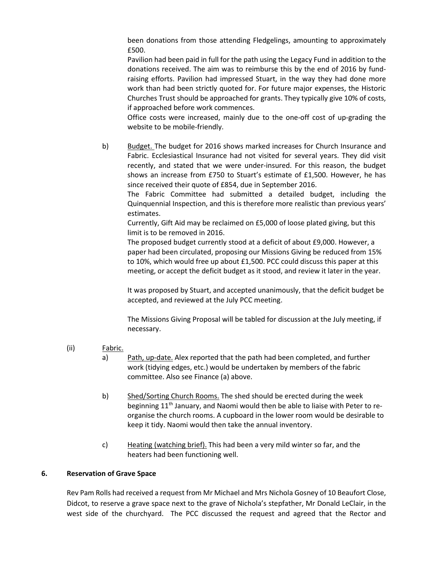been donations from those attending Fledgelings, amounting to approximately £500.

Pavilion had been paid in full for the path using the Legacy Fund in addition to the donations received. The aim was to reimburse this by the end of 2016 by fundraising efforts. Pavilion had impressed Stuart, in the way they had done more work than had been strictly quoted for. For future major expenses, the Historic Churches Trust should be approached for grants. They typically give 10% of costs, if approached before work commences.

Office costs were increased, mainly due to the one-off cost of up-grading the website to be mobile-friendly.

b) Budget. The budget for 2016 shows marked increases for Church Insurance and Fabric. Ecclesiastical Insurance had not visited for several years. They did visit recently, and stated that we were under-insured. For this reason, the budget shows an increase from £750 to Stuart's estimate of £1,500. However, he has since received their quote of £854, due in September 2016.

The Fabric Committee had submitted a detailed budget, including the Quinquennial Inspection, and this is therefore more realistic than previous years' estimates.

Currently, Gift Aid may be reclaimed on £5,000 of loose plated giving, but this limit is to be removed in 2016.

The proposed budget currently stood at a deficit of about £9,000. However, a paper had been circulated, proposing our Missions Giving be reduced from 15% to 10%, which would free up about £1,500. PCC could discuss this paper at this meeting, or accept the deficit budget as it stood, and review it later in the year.

It was proposed by Stuart, and accepted unanimously, that the deficit budget be accepted, and reviewed at the July PCC meeting.

The Missions Giving Proposal will be tabled for discussion at the July meeting, if necessary.

## (ii) Fabric.

- a) Path, up-date. Alex reported that the path had been completed, and further work (tidying edges, etc.) would be undertaken by members of the fabric committee. Also see Finance (a) above.
- b) Shed/Sorting Church Rooms. The shed should be erected during the week beginning 11<sup>th</sup> January, and Naomi would then be able to liaise with Peter to reorganise the church rooms. A cupboard in the lower room would be desirable to keep it tidy. Naomi would then take the annual inventory.
- c) Heating (watching brief). This had been a very mild winter so far, and the heaters had been functioning well.

## 6. Reservation of Grave Space

Rev Pam Rolls had received a request from Mr Michael and Mrs Nichola Gosney of 10 Beaufort Close, Didcot, to reserve a grave space next to the grave of Nichola's stepfather, Mr Donald LeClair, in the west side of the churchyard. The PCC discussed the request and agreed that the Rector and